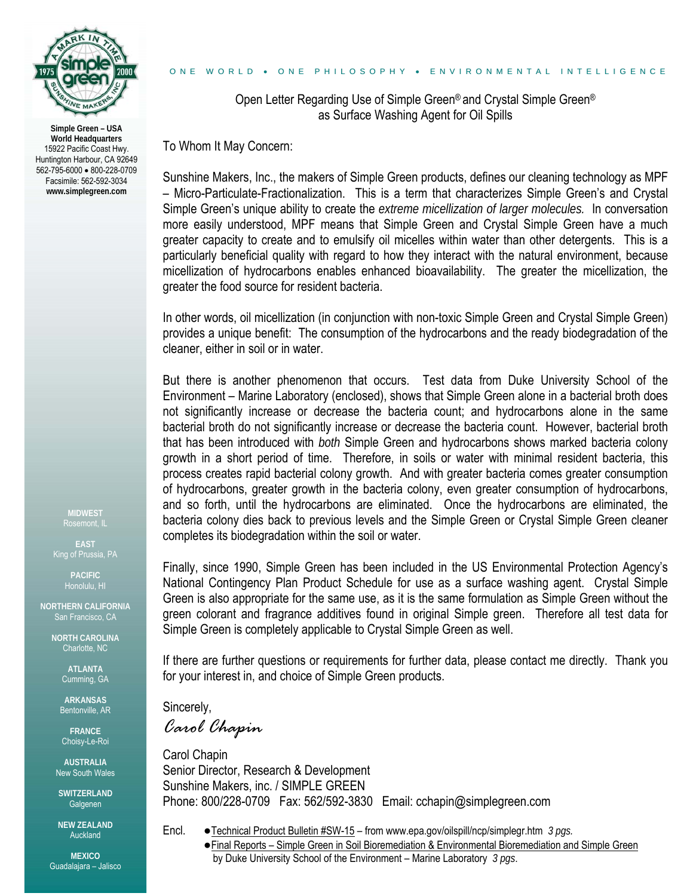

**Simple Green – USA World Headquarters**  15922 Pacific Coast Hwy. Huntington Harbour, CA 92649 562-795-6000 • 800-228-0709 Facsimile: 562-592-3034 **www.simplegreen.com** 

**MIDWEST** 

**EAST** 

**PACIFIC** 

**NORTHERN CALIFORNIA**  San Francisco, CA

> **NORTH CAROLINA**  Charlotte, NC

> > **ATLANTA**  Cumming, GA

**ARKANSAS**  Bentonville, AR

**FRANCE**  Choisy-Le-Roi

**AUSTRALIA**  New South Wales

**SWITZERLAND**  Galgenen

**NEW ZEALAND**  Auckland

**MEXICO** Guadalajara – Jalisco

### ONE WORLD • ONE PHILOSOPHY • ENVIRONMENTAL INTELLIGENCE

Open Letter Regarding Use of Simple Green® and Crystal Simple Green® as Surface Washing Agent for Oil Spills

To Whom It May Concern:

Sunshine Makers, Inc., the makers of Simple Green products, defines our cleaning technology as MPF – Micro-Particulate-Fractionalization. This is a term that characterizes Simple Green's and Crystal Simple Green's unique ability to create the *extreme micellization of larger molecules.* In conversation more easily understood, MPF means that Simple Green and Crystal Simple Green have a much greater capacity to create and to emulsify oil micelles within water than other detergents. This is a particularly beneficial quality with regard to how they interact with the natural environment, because micellization of hydrocarbons enables enhanced bioavailability. The greater the micellization, the greater the food source for resident bacteria.

In other words, oil micellization (in conjunction with non-toxic Simple Green and Crystal Simple Green) provides a unique benefit: The consumption of the hydrocarbons and the ready biodegradation of the cleaner, either in soil or in water.

But there is another phenomenon that occurs. Test data from Duke University School of the Environment – Marine Laboratory (enclosed), shows that Simple Green alone in a bacterial broth does not significantly increase or decrease the bacteria count; and hydrocarbons alone in the same bacterial broth do not significantly increase or decrease the bacteria count. However, bacterial broth that has been introduced with *both* Simple Green and hydrocarbons shows marked bacteria colony growth in a short period of time. Therefore, in soils or water with minimal resident bacteria, this process creates rapid bacterial colony growth. And with greater bacteria comes greater consumption of hydrocarbons, greater growth in the bacteria colony, even greater consumption of hydrocarbons, and so forth, until the hydrocarbons are eliminated. Once the hydrocarbons are eliminated, the bacteria colony dies back to previous levels and the Simple Green or Crystal Simple Green cleaner completes its biodegradation within the soil or water.

Finally, since 1990, Simple Green has been included in the US Environmental Protection Agency's National Contingency Plan Product Schedule for use as a surface washing agent. Crystal Simple Green is also appropriate for the same use, as it is the same formulation as Simple Green without the green colorant and fragrance additives found in original Simple green. Therefore all test data for Simple Green is completely applicable to Crystal Simple Green as well.

If there are further questions or requirements for further data, please contact me directly. Thank you for your interest in, and choice of Simple Green products.

Sincerely,

*Carol Chapin* 

Carol Chapin Senior Director, Research & Development Sunshine Makers, inc. / SIMPLE GREEN Phone: 800/228-0709 Fax: 562/592-3830 Email: cchapin@simplegreen.com

- Encl. ●Technical Product Bulletin #SW-15 from www.epa.gov/oilspill/ncp/simplegr.htm *3 pgs.*
	- ●Final Reports Simple Green in Soil Bioremediation & Environmental Bioremediation and Simple Green by Duke University School of the Environment – Marine Laboratory *3 pgs*.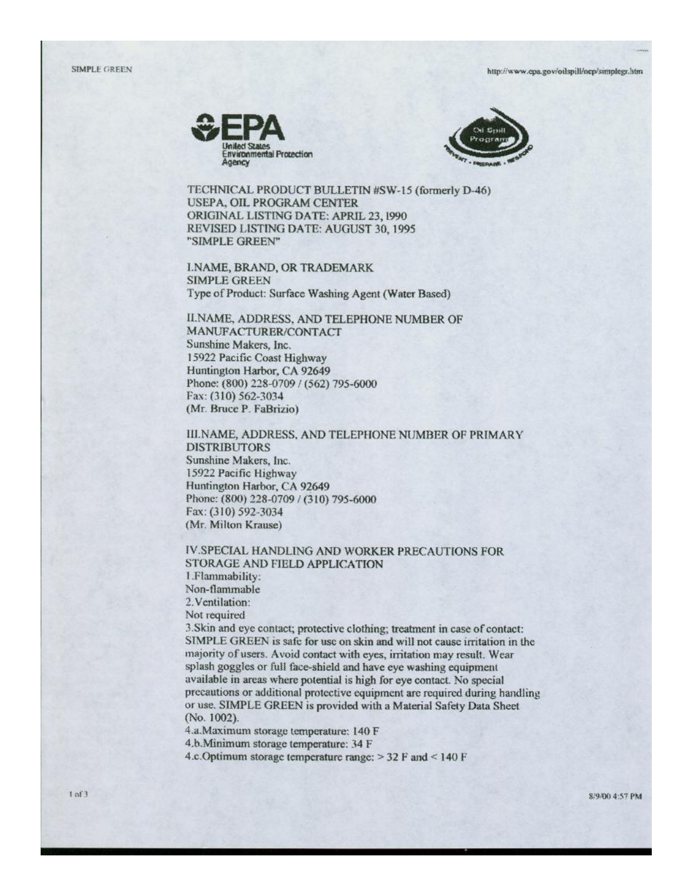



TECHNICAL PRODUCT BULLETIN #SW-15 (formerly D-46) **USEPA, OIL PROGRAM CENTER** ORIGINAL LISTING DATE: APRIL 23, 1990 REVISED LISTING DATE: AUGUST 30, 1995 "SIMPLE GREEN"

**I.NAME, BRAND, OR TRADEMARK SIMPLE GREEN** Type of Product: Surface Washing Agent (Water Based)

II.NAME, ADDRESS, AND TELEPHONE NUMBER OF MANUFACTURER/CONTACT Sunshine Makers, Inc. 15922 Pacific Coast Highway Huntington Harbor, CA 92649 Phone: (800) 228-0709 / (562) 795-6000 Fax: (310) 562-3034 (Mr. Bruce P. FaBrizio)

III.NAME, ADDRESS, AND TELEPHONE NUMBER OF PRIMARY **DISTRIBUTORS** Sunshine Makers, Inc. 15922 Pacific Highway Huntington Harbor, CA 92649 Phone: (800) 228-0709 / (310) 795-6000 Fax: (310) 592-3034 (Mr. Milton Krause)

IV.SPECIAL HANDLING AND WORKER PRECAUTIONS FOR **STORAGE AND FIELD APPLICATION** 1.Flammability: Non-flammable 2. Ventilation: Not required 3. Skin and eye contact; protective clothing; treatment in case of contact: SIMPLE GREEN is safe for use on skin and will not cause irritation in the majority of users. Avoid contact with eyes, irritation may result. Wear splash goggles or full face-shield and have eye washing equipment available in areas where potential is high for eye contact. No special precautions or additional protective equipment are required during handling or use. SIMPLE GREEN is provided with a Material Safety Data Sheet

(No. 1002).

4.a.Maximum storage temperature: 140 F

4.b.Minimum storage temperature: 34 F

4.c. Optimum storage temperature range:  $>$  32 F and  $<$  140 F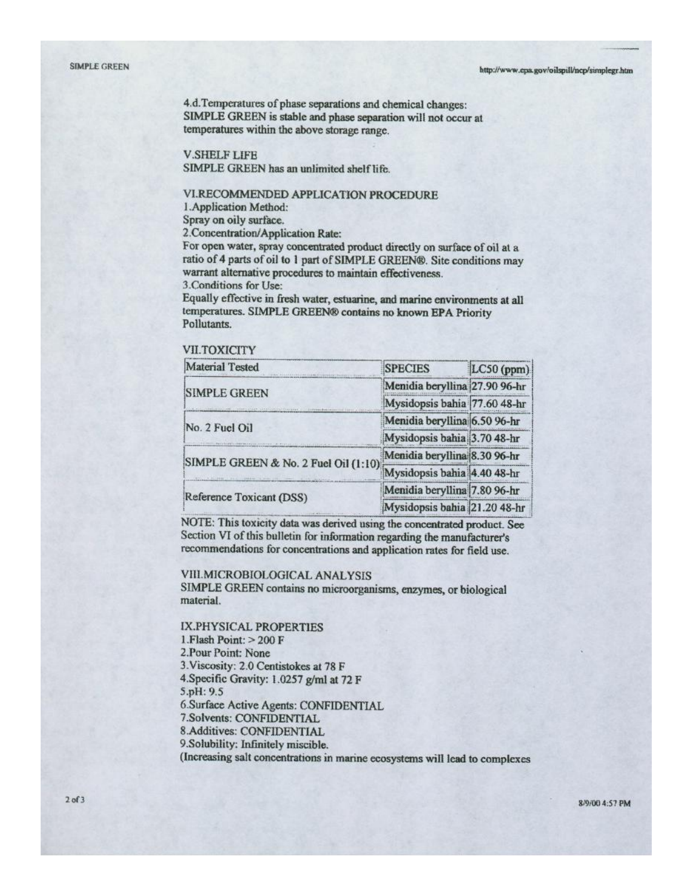4.d. Temperatures of phase separations and chemical changes: SIMPLE GREEN is stable and phase separation will not occur at temperatures within the above storage range.

## **V.SHELF LIFE**

SIMPLE GREEN has an unlimited shelf life.

### VI.RECOMMENDED APPLICATION PROCEDURE

1. Application Method:

Spray on oily surface.

2. Concentration/Application Rate:

For open water, spray concentrated product directly on surface of oil at a ratio of 4 parts of oil to 1 part of SIMPLE GREEN®. Site conditions may warrant alternative procedures to maintain effectiveness.

3. Conditions for Use:

Equally effective in fresh water, estuarine, and marine environments at all temperatures. SIMPLE GREEN® contains no known EPA Priority Pollutants.

# **VII.TOXICITY**

| <b>Material Tested</b>               | <b>SPECIES</b>                | LC50 (ppm) |
|--------------------------------------|-------------------------------|------------|
| <b>SIMPLE GREEN</b>                  | Menidia beryllina 27.90 96-hr |            |
|                                      | Mysidopsis bahia 77.60 48-hr  |            |
| No. 2 Fuel Oil                       | Menidia beryllina 6.50 96-hr  |            |
|                                      | Mysidopsis bahia 3.70 48-hr   |            |
| SIMPLE GREEN & No. 2 Fuel Oil (1:10) | Menidia beryllina 8.30 96-hr  |            |
|                                      | Mysidopsis bahia 4.40 48-hr   |            |
| Reference Toxicant (DSS)             | Menidia beryllina 7.80 96-hr  |            |
|                                      | Mysidopsis bahia 21.20 48-hr  |            |

NOTE: This toxicity data was derived using the concentrated product. See Section VI of this bulletin for information regarding the manufacturer's recommendations for concentrations and application rates for field use.

### **VIII.MICROBIOLOGICAL ANALYSIS**

SIMPLE GREEN contains no microorganisms, enzymes, or biological material.

IX.PHYSICAL PROPERTIES 1. Flash Point:  $> 200$  F 2. Pour Point: None 3. Viscosity: 2.0 Centistokes at 78 F 4. Specific Gravity: 1.0257 g/ml at 72 F 5.pH: 9.5 6.Surface Active Agents: CONFIDENTIAL 7.Solvents: CONFIDENTIAL 8.Additives: CONFIDENTIAL 9.Solubility: Infinitely miscible. (Increasing salt concentrations in marine ecosystems will lead to complexes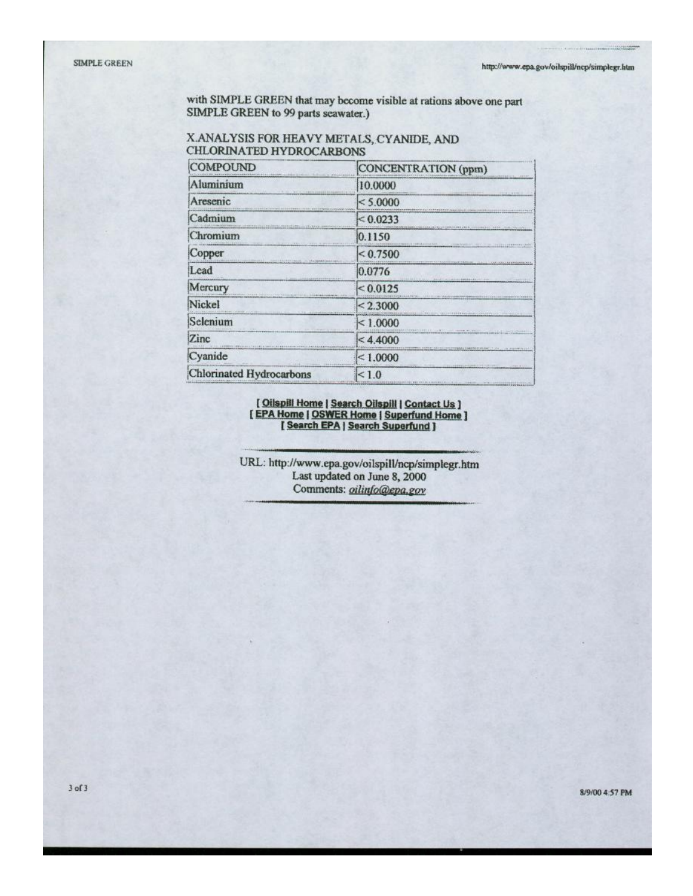with SIMPLE GREEN that may become visible at rations above one part SIMPLE GREEN to 99 parts seawater.)

# X.ANALYSIS FOR HEAVY METALS, CYANIDE, AND **CHLORINATED HYDROCARBONS**

| <b>COMPOUND</b>                                        | CONCENTRATION (ppm)                                                                                                                                                                              |
|--------------------------------------------------------|--------------------------------------------------------------------------------------------------------------------------------------------------------------------------------------------------|
| Aluminium                                              | 日本新英国法院教授新英国大学(地)、大学部分成功<br>10.0000                                                                                                                                                              |
| Aresenic                                               | $1 - 1111$<br>< 5.0000<br><b>PERMIT IN STEAMERS AND A</b><br><b><i><u>OKONOM PARAJINA PARAJINA PARAJINA PARAJINA PARAJINA PARAJINA PARAJINA PARAJINA PARAJINA PARAJINA PARAJINA PARA</u></i></b> |
| Cadmium<br>LANG PERK LANGEROUS CREW                    | < 0.0233                                                                                                                                                                                         |
| Chromium                                               | arranteed development and the concepted area conductors<br>0.1150                                                                                                                                |
| Copper                                                 | ${}_{0.7500}$                                                                                                                                                                                    |
| Lead                                                   | 0.0776                                                                                                                                                                                           |
| Mercury<br>control bears become contable and it allows | < 0.0125                                                                                                                                                                                         |
| Nickel                                                 | < 2.3000                                                                                                                                                                                         |
| Selenium                                               | <b>CELLUI PERIS Melodina</b><br>< 1.0000                                                                                                                                                         |
| <b>Zinc</b>                                            | THREE EFFECT (TEACHING series with the control to prove<br>< 4.4000                                                                                                                              |
| Cyanide                                                | TTELESTIC SPEED ENTRANGENMENT PACE TO FLORIDA WAS ST<br>< 1.0000                                                                                                                                 |
| <b>Chlorinated Hydrocarbons</b>                        | <b>Historical Control Control Communication</b><br>< 1.0                                                                                                                                         |

# [Oilspill Home | Search Oilspill | Contact Us ]<br>[EPA Home | OSWER Home | Superfund Home ]<br>[Search EPA | Search Superfund ]

URL: http://www.epa.gov/oilspill/ncp/simplegr.htm Last updated on June 8, 2000 Comments: oilinfo@epa.gov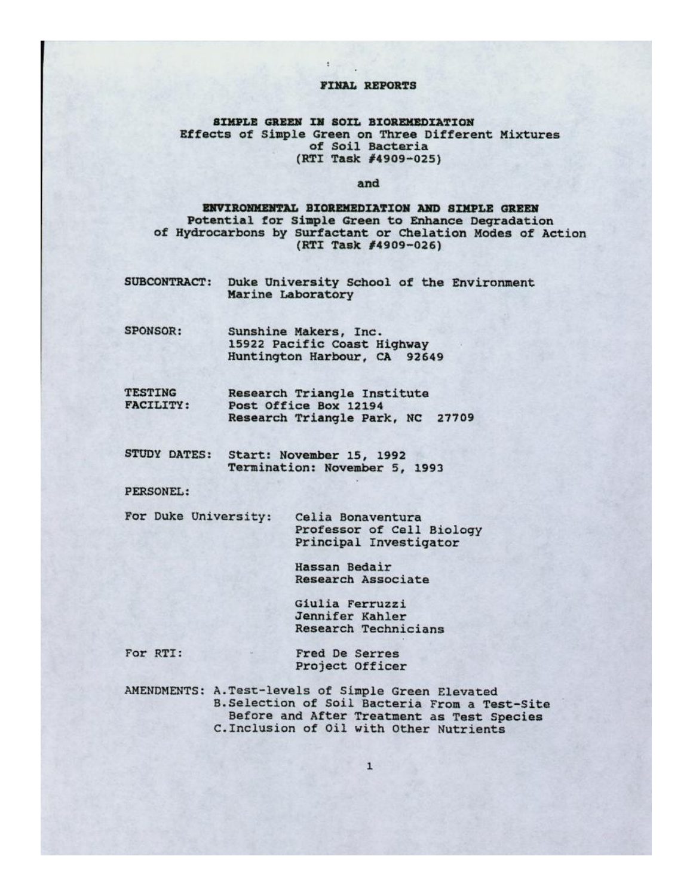### FINAL REPORTS

## SIMPLE GREEN IN SOIL BIOREMEDIATION Effects of Simple Green on Three Different Mixtures of Soil Bacteria (RTI Task #4909-025)

#### and

## ENVIRONMENTAL BIOREMEDIATION AND SIMPLE GREEN Potential for Simple Green to Enhance Degradation of Hydrocarbons by Surfactant or Chelation Modes of Action (RTI Task #4909-026)

- **SUBCONTRACT:** Duke University School of the Environment Marine Laboratory
- **SPONSOR:** Sunshine Makers, Inc. 15922 Pacific Coast Highway Huntington Harbour, CA 92649
- **TESTING** Research Triangle Institute **FACILITY:** Post Office Box 12194 Research Triangle Park, NC 27709
- STUDY DATES: Start: November 15, 1992 Termination: November 5, 1993

PERSONEL:

For Duke University:

Celia Bonaventura Professor of Cell Biology Principal Investigator

Hassan Bedair Research Associate

Giulia Ferruzzi Jennifer Kahler Research Technicians

For RTI:

Fred De Serres Project Officer

AMENDMENTS: A.Test-levels of Simple Green Elevated B. Selection of Soil Bacteria From a Test-Site Before and After Treatment as Test Species C. Inclusion of Oil with Other Nutrients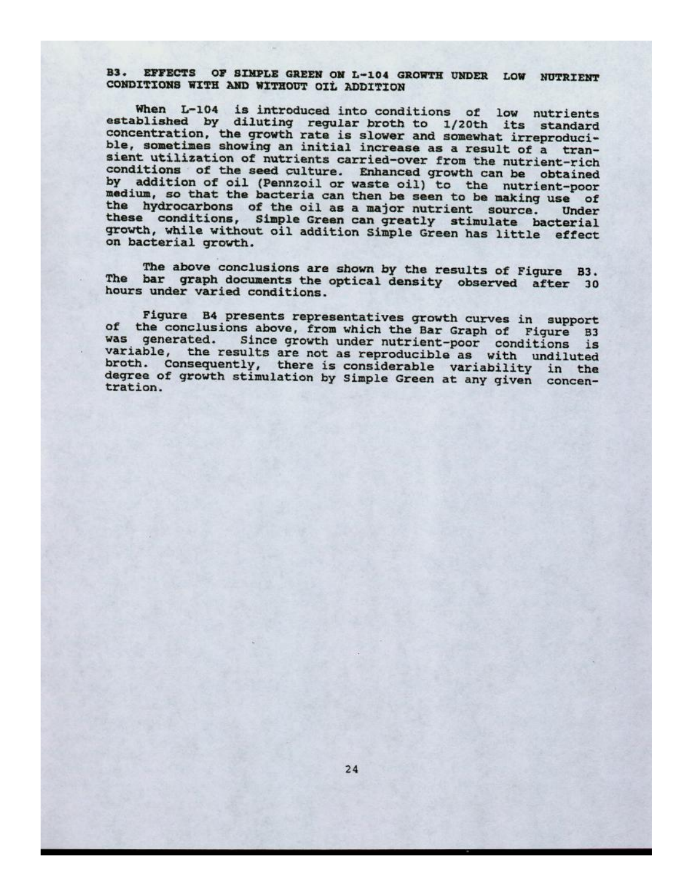B3. EFFECTS OF SIMPLE GREEN ON L-104 GROWTH UNDER LOW NUTRIENT CONDITIONS WITH AND WITHOUT OIL ADDITION

When L-104 is introduced into conditions of low nutrients established by diluting regular broth to 1/20th its standard concentration, the growth rate is slower and somewhat irreproducible, sometimes showing an initial increase as a result of a transient utilization of nutrients carried-over from the nutrient-rich conditions of the seed culture. Enhanced growth can be obtained<br>by addition of oil (Pennzoil or waste oil) to the nutrient-poor medium, so that the bacteria can then be seen to be making use of the hydrocarbons of the oil as a major nutrient source. Under these conditions, Simple Green can greatly stimulate bacterial growth, while without oil addition Simple Green has little effect on bacterial growth.

The above conclusions are shown by the results of Figure **B3.** The bar graph documents the optical density observed after 30 hours under varied conditions.

Figure B4 presents representatives growth curves in support of the conclusions above, from which the Bar Graph of Figure B3 was generated. Since growth under nutrient-poor conditions is variable, the results are not as reproducible as with undiluted broth. Consequently, there is considerable variability in the degree of growth stimulation by Simple Green at any given concentration.